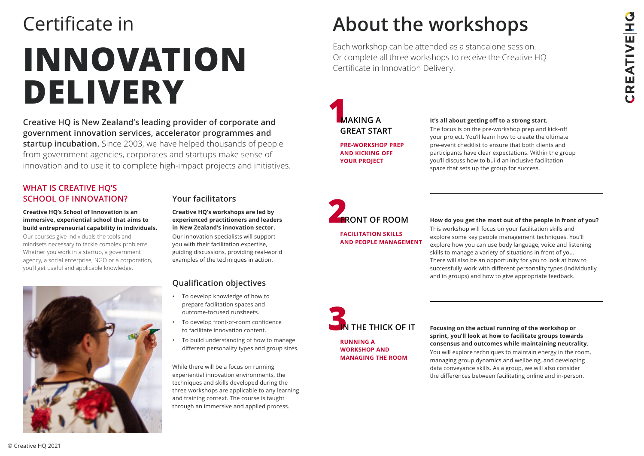© Creative HQ 2021

**Creative HQ is New Zealand's leading provider of corporate and government innovation services, accelerator programmes and startup incubation.** Since 2003, we have helped thousands of people from government agencies, corporates and startups make sense of innovation and to use it to complete high-impact projects and initiatives.

#### **WHAT IS CREATIVE HQ'S SCHOOL OF INNOVATION?**

#### **Creative HQ's School of Innovation is an immersive, experiential school that aims to build entrepreneurial capability in individuals.**

Our courses give individuals the tools and mindsets necessary to tackle complex problems. Whether you work in a startup, a government agency, a social enterprise, NGO or a corporation, you'll get useful and applicable knowledge.



# **INNOVATION DELIVERY** Certificate in **About the workshops**

#### **Your facilitators**

### **1 MAKING A GREAT START**

**Creative HQ's workshops are led by experienced practitioners and leaders in New Zealand's innovation sector.**

Our innovation specialists will support you with their facilitation expertise, guiding discussions, providing real-world examples of the techniques in action.

#### **Qualification objectives**

- To develop knowledge of how to prepare facilitation spaces and outcome-focused runsheets.
- To develop front-of-room confidence to facilitate innovation content.
- To build understanding of how to manage different personality types and group sizes.

While there will be a focus on running experiential innovation environments, the techniques and skills developed during the three workshops are applicable to any learning and training context. The course is taught through an immersive and applied process.

# **2**



#### **It's all about getting off to a strong start.**

The focus is on the pre-workshop prep and kick-off your project. You'll learn how to create the ultimate pre-event checklist to ensure that both clients and participants have clear expectations. Within the group you'll discuss how to build an inclusive facilitation space that sets up the group for success.

**PRE-WORKSHOP PREP AND KICKING OFF YOUR PROJECT**

#### **FRONT OF ROOM How do you get the most out of the people in front of you?**

This workshop will focus on your facilitation skills and explore some key people management techniques. You'll explore how you can use body language, voice and listening skills to manage a variety of situations in front of you. There will also be an opportunity for you to look at how to successfully work with different personality types (individually and in groups) and how to give appropriate feedback.

**FACILITATION SKILLS AND PEOPLE MANAGEMENT**

#### **IN THE THICK OF IT Focusing on the actual running of the workshop or sprint, you'll look at how to facilitate groups towards consensus and outcomes while maintaining neutrality.**  You will explore techniques to maintain energy in the room, managing group dynamics and wellbeing, and developing

data conveyance skills. As a group, we will also consider the differences between facilitating online and in-person.

**RUNNING A WORKSHOP AND MANAGING THE ROOM**

Each workshop can be attended as a standalone session. Or complete all three workshops to receive the Creative HQ Certificate in Innovation Delivery.